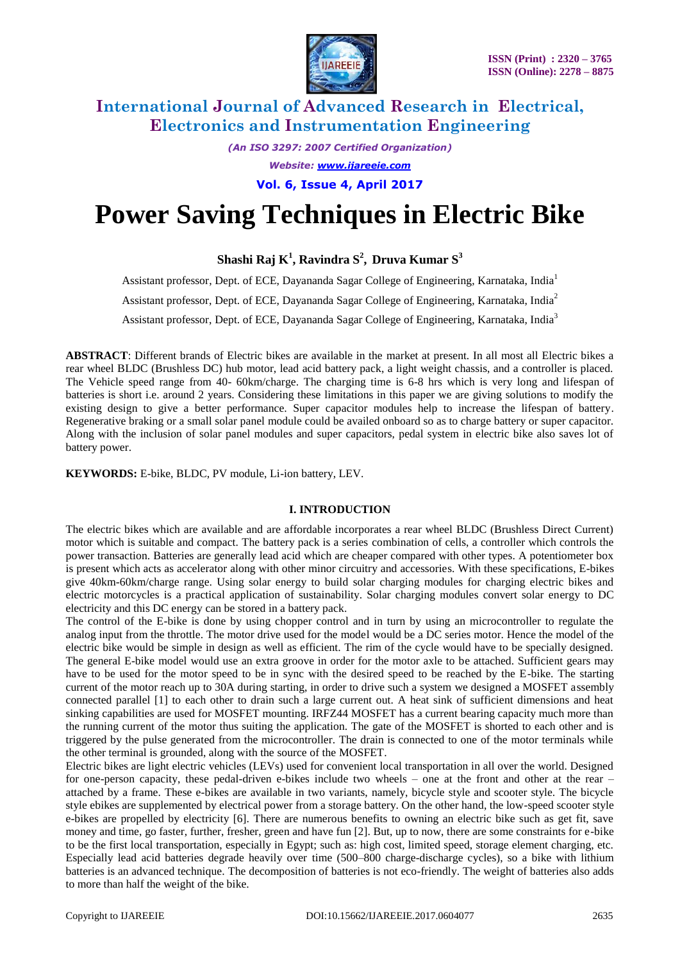

*(An ISO 3297: 2007 Certified Organization) Website: www.ijareeie.com*

**Vol. 6, Issue 4, April 2017**

# **Power Saving Techniques in Electric Bike**

**Shashi Raj K 1 , Ravindra S 2 , Druva Kumar S<sup>3</sup>**

Assistant professor, Dept. of ECE, Dayananda Sagar College of Engineering, Karnataka, India<sup>1</sup>

Assistant professor, Dept. of ECE, Dayananda Sagar College of Engineering, Karnataka, India<sup>2</sup>

Assistant professor, Dept. of ECE, Dayananda Sagar College of Engineering, Karnataka, India<sup>3</sup>

**ABSTRACT**: Different brands of Electric bikes are available in the market at present. In all most all Electric bikes a rear wheel BLDC (Brushless DC) hub motor, lead acid battery pack, a light weight chassis, and a controller is placed. The Vehicle speed range from 40- 60km/charge. The charging time is 6-8 hrs which is very long and lifespan of batteries is short i.e. around 2 years. Considering these limitations in this paper we are giving solutions to modify the existing design to give a better performance. Super capacitor modules help to increase the lifespan of battery. Regenerative braking or a small solar panel module could be availed onboard so as to charge battery or super capacitor. Along with the inclusion of solar panel modules and super capacitors, pedal system in electric bike also saves lot of battery power.

**KEYWORDS:** E-bike, BLDC, PV module, Li-ion battery, LEV.

#### **I. INTRODUCTION**

The electric bikes which are available and are affordable incorporates a rear wheel BLDC (Brushless Direct Current) motor which is suitable and compact. The battery pack is a series combination of cells, a controller which controls the power transaction. Batteries are generally lead acid which are cheaper compared with other types. A potentiometer box is present which acts as accelerator along with other minor circuitry and accessories. With these specifications, E-bikes give 40km-60km/charge range. Using solar energy to build solar charging modules for charging electric bikes and electric motorcycles is a practical application of sustainability. Solar charging modules convert solar energy to DC electricity and this DC energy can be stored in a battery pack.

The control of the E-bike is done by using chopper control and in turn by using an microcontroller to regulate the analog input from the throttle. The motor drive used for the model would be a DC series motor. Hence the model of the electric bike would be simple in design as well as efficient. The rim of the cycle would have to be specially designed. The general E-bike model would use an extra groove in order for the motor axle to be attached. Sufficient gears may have to be used for the motor speed to be in sync with the desired speed to be reached by the E-bike. The starting current of the motor reach up to 30A during starting, in order to drive such a system we designed a MOSFET assembly connected parallel [1] to each other to drain such a large current out. A heat sink of sufficient dimensions and heat sinking capabilities are used for MOSFET mounting. IRFZ44 MOSFET has a current bearing capacity much more than the running current of the motor thus suiting the application. The gate of the MOSFET is shorted to each other and is triggered by the pulse generated from the microcontroller. The drain is connected to one of the motor terminals while the other terminal is grounded, along with the source of the MOSFET.

Electric bikes are light electric vehicles (LEVs) used for convenient local transportation in all over the world. Designed for one-person capacity, these pedal-driven e-bikes include two wheels – one at the front and other at the rear – attached by a frame. These e-bikes are available in two variants, namely, bicycle style and scooter style. The bicycle style ebikes are supplemented by electrical power from a storage battery. On the other hand, the low-speed scooter style e-bikes are propelled by electricity [6]. There are numerous benefits to owning an electric bike such as get fit, save money and time, go faster, further, fresher, green and have fun [2]. But, up to now, there are some constraints for e-bike to be the first local transportation, especially in Egypt; such as: high cost, limited speed, storage element charging, etc. Especially lead acid batteries degrade heavily over time (500–800 charge-discharge cycles), so a bike with lithium batteries is an advanced technique. The decomposition of batteries is not eco-friendly. The weight of batteries also adds to more than half the weight of the bike.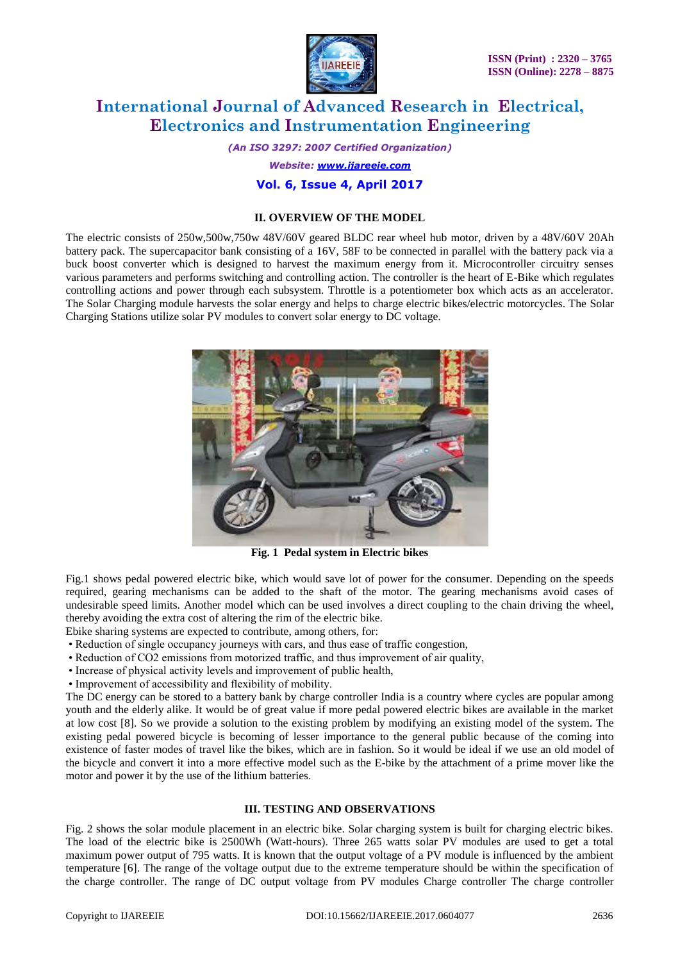

*(An ISO 3297: 2007 Certified Organization) Website: www.ijareeie.com* **Vol. 6, Issue 4, April 2017**

#### **II. OVERVIEW OF THE MODEL**

The electric consists of 250w,500w,750w 48V/60V geared BLDC rear wheel hub motor, driven by a 48V/60V 20Ah battery pack. The supercapacitor bank consisting of a 16V, 58F to be connected in parallel with the battery pack via a buck boost converter which is designed to harvest the maximum energy from it. Microcontroller circuitry senses various parameters and performs switching and controlling action. The controller is the heart of E-Bike which regulates controlling actions and power through each subsystem. Throttle is a potentiometer box which acts as an accelerator. The Solar Charging module harvests the solar energy and helps to charge electric bikes/electric motorcycles. The Solar Charging Stations utilize solar PV modules to convert solar energy to DC voltage.



**Fig. 1 Pedal system in Electric bikes**

Fig.1 shows pedal powered electric bike, which would save lot of power for the consumer. Depending on the speeds required, gearing mechanisms can be added to the shaft of the motor. The gearing mechanisms avoid cases of undesirable speed limits. Another model which can be used involves a direct coupling to the chain driving the wheel, thereby avoiding the extra cost of altering the rim of the electric bike.

Ebike sharing systems are expected to contribute, among others, for:

- Reduction of single occupancy journeys with cars, and thus ease of traffic congestion,
- Reduction of CO2 emissions from motorized traffic, and thus improvement of air quality,
- Increase of physical activity levels and improvement of public health,
- Improvement of accessibility and flexibility of mobility.

The DC energy can be stored to a battery bank by charge controller India is a country where cycles are popular among youth and the elderly alike. It would be of great value if more pedal powered electric bikes are available in the market at low cost [8]. So we provide a solution to the existing problem by modifying an existing model of the system. The existing pedal powered bicycle is becoming of lesser importance to the general public because of the coming into existence of faster modes of travel like the bikes, which are in fashion. So it would be ideal if we use an old model of the bicycle and convert it into a more effective model such as the E-bike by the attachment of a prime mover like the motor and power it by the use of the lithium batteries.

### **III. TESTING AND OBSERVATIONS**

Fig. 2 shows the solar module placement in an electric bike. Solar charging system is built for charging electric bikes. The load of the electric bike is 2500Wh (Watt-hours). Three 265 watts solar PV modules are used to get a total maximum power output of 795 watts. It is known that the output voltage of a PV module is influenced by the ambient temperature [6]. The range of the voltage output due to the extreme temperature should be within the specification of the charge controller. The range of DC output voltage from PV modules Charge controller The charge controller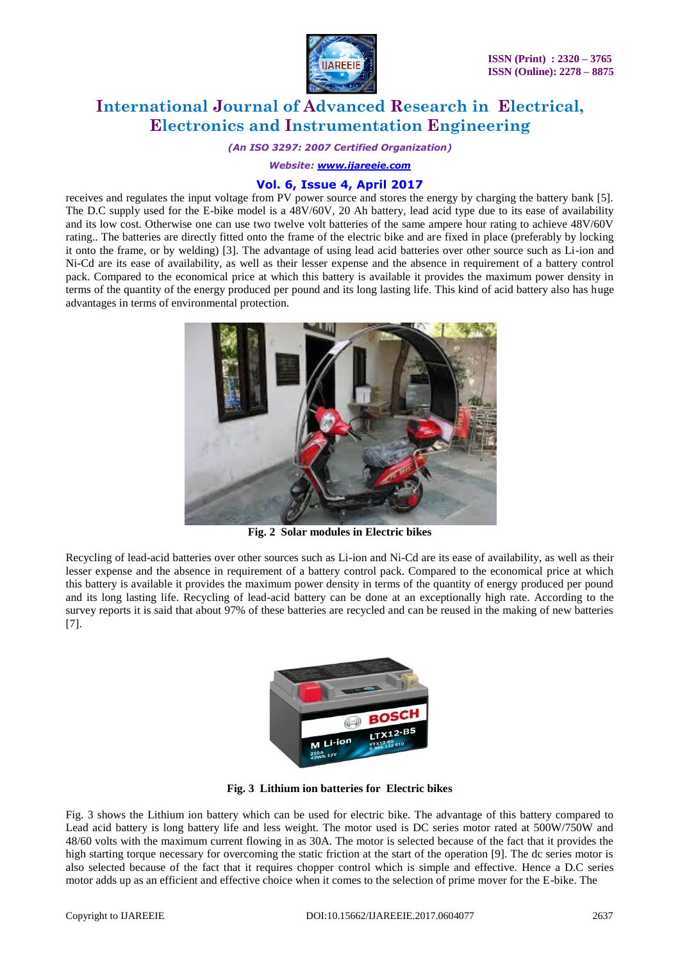

*(An ISO 3297: 2007 Certified Organization)*

*Website: www.ijareeie.com*

#### **Vol. 6, Issue 4, April 2017**

receives and regulates the input voltage from PV power source and stores the energy by charging the battery bank [5]. The D.C supply used for the E-bike model is a 48V/60V, 20 Ah battery, lead acid type due to its ease of availability and its low cost. Otherwise one can use two twelve volt batteries of the same ampere hour rating to achieve 48V/60V rating.. The batteries are directly fitted onto the frame of the electric bike and are fixed in place (preferably by locking it onto the frame, or by welding) [3]. The advantage of using lead acid batteries over other source such as Li-ion and Ni-Cd are its ease of availability, as well as their lesser expense and the absence in requirement of a battery control pack. Compared to the economical price at which this battery is available it provides the maximum power density in terms of the quantity of the energy produced per pound and its long lasting life. This kind of acid battery also has huge advantages in terms of environmental protection.



**Fig. 2 Solar modules in Electric bikes**

Recycling of lead-acid batteries over other sources such as Li-ion and Ni-Cd are its ease of availability, as well as their lesser expense and the absence in requirement of a battery control pack. Compared to the economical price at which this battery is available it provides the maximum power density in terms of the quantity of energy produced per pound and its long lasting life. Recycling of lead-acid battery can be done at an exceptionally high rate. According to the survey reports it is said that about 97% of these batteries are recycled and can be reused in the making of new batteries [7].



**Fig. 3 Lithium ion batteries for Electric bikes**

Fig. 3 shows the Lithium ion battery which can be used for electric bike. The advantage of this battery compared to Lead acid battery is long battery life and less weight. The motor used is DC series motor rated at 500W/750W and 48/60 volts with the maximum current flowing in as 30A. The motor is selected because of the fact that it provides the high starting torque necessary for overcoming the static friction at the start of the operation [9]. The dc series motor is also selected because of the fact that it requires chopper control which is simple and effective. Hence a D.C series motor adds up as an efficient and effective choice when it comes to the selection of prime mover for the E-bike. The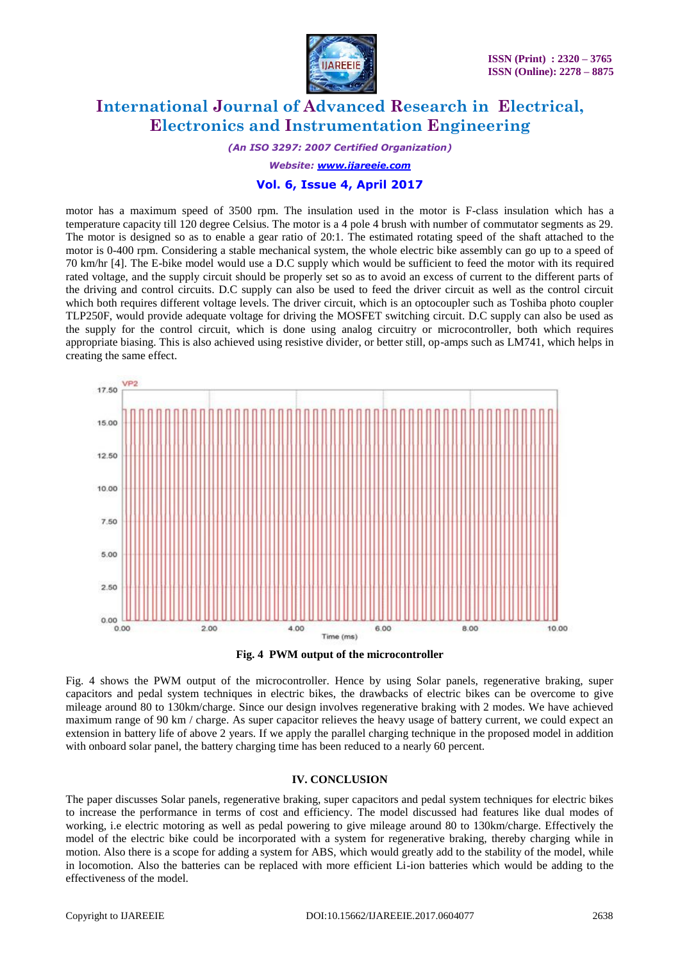

*(An ISO 3297: 2007 Certified Organization)*

*Website: www.ijareeie.com*

#### **Vol. 6, Issue 4, April 2017**

motor has a maximum speed of 3500 rpm. The insulation used in the motor is F-class insulation which has a temperature capacity till 120 degree Celsius. The motor is a 4 pole 4 brush with number of commutator segments as 29. The motor is designed so as to enable a gear ratio of 20:1. The estimated rotating speed of the shaft attached to the motor is 0-400 rpm. Considering a stable mechanical system, the whole electric bike assembly can go up to a speed of 70 km/hr [4]. The E-bike model would use a D.C supply which would be sufficient to feed the motor with its required rated voltage, and the supply circuit should be properly set so as to avoid an excess of current to the different parts of the driving and control circuits. D.C supply can also be used to feed the driver circuit as well as the control circuit which both requires different voltage levels. The driver circuit, which is an optocoupler such as Toshiba photo coupler TLP250F, would provide adequate voltage for driving the MOSFET switching circuit. D.C supply can also be used as the supply for the control circuit, which is done using analog circuitry or microcontroller, both which requires appropriate biasing. This is also achieved using resistive divider, or better still, op-amps such as LM741, which helps in creating the same effect.



**Fig. 4 PWM output of the microcontroller**

Fig. 4 shows the PWM output of the microcontroller. Hence by using Solar panels, regenerative braking, super capacitors and pedal system techniques in electric bikes, the drawbacks of electric bikes can be overcome to give mileage around 80 to 130km/charge. Since our design involves regenerative braking with 2 modes. We have achieved maximum range of 90 km / charge. As super capacitor relieves the heavy usage of battery current, we could expect an extension in battery life of above 2 years. If we apply the parallel charging technique in the proposed model in addition with onboard solar panel, the battery charging time has been reduced to a nearly 60 percent.

#### **IV. CONCLUSION**

The paper discusses Solar panels, regenerative braking, super capacitors and pedal system techniques for electric bikes to increase the performance in terms of cost and efficiency. The model discussed had features like dual modes of working, i.e electric motoring as well as pedal powering to give mileage around 80 to 130km/charge. Effectively the model of the electric bike could be incorporated with a system for regenerative braking, thereby charging while in motion. Also there is a scope for adding a system for ABS, which would greatly add to the stability of the model, while in locomotion. Also the batteries can be replaced with more efficient Li-ion batteries which would be adding to the effectiveness of the model.